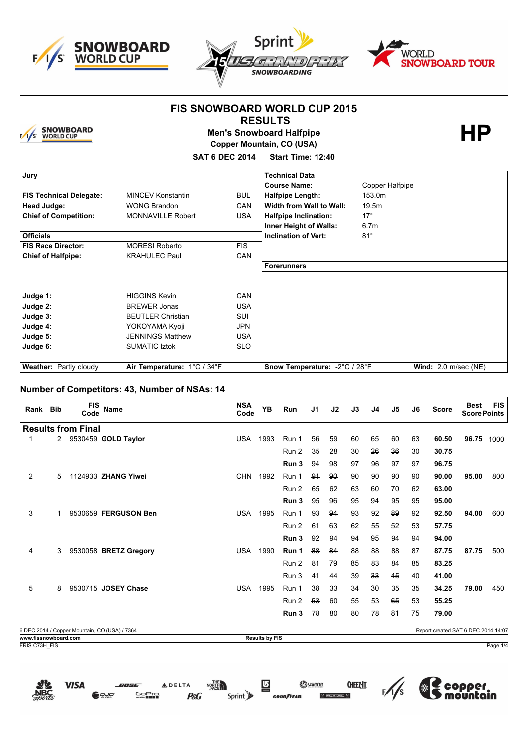





**HP**

### **FIS SNOWBOARD WORLD CUP 2015 RESULTS**



**Men's Snowboard Halfpipe Copper Mountain, CO (USA)**

**SAT 6 DEC 2014 Start Time: 12:40**

| Jury                           |                             |            | <b>Technical Data</b>         |                        |
|--------------------------------|-----------------------------|------------|-------------------------------|------------------------|
|                                |                             |            | <b>Course Name:</b>           | Copper Halfpipe        |
| <b>FIS Technical Delegate:</b> | <b>MINCEV Konstantin</b>    | <b>BUL</b> | <b>Halfpipe Length:</b>       | 153.0m                 |
| Head Judge:                    | <b>WONG Brandon</b>         | <b>CAN</b> | Width from Wall to Wall:      | 19.5m                  |
| <b>Chief of Competition:</b>   | <b>MONNAVILLE Robert</b>    | <b>USA</b> | <b>Halfpipe Inclination:</b>  | $17^\circ$             |
|                                |                             |            | Inner Height of Walls:        | 6.7 <sub>m</sub>       |
| <b>Officials</b>               |                             |            | <b>Inclination of Vert:</b>   | $81^\circ$             |
| <b>FIS Race Director:</b>      | <b>MORESI Roberto</b>       | <b>FIS</b> |                               |                        |
| <b>Chief of Halfpipe:</b>      | <b>KRAHULEC Paul</b>        | <b>CAN</b> |                               |                        |
|                                |                             |            | <b>Forerunners</b>            |                        |
|                                |                             |            |                               |                        |
|                                |                             |            |                               |                        |
| Judge 1:                       | <b>HIGGINS Kevin</b>        | <b>CAN</b> |                               |                        |
| Judge 2:                       | <b>BREWER Jonas</b>         | <b>USA</b> |                               |                        |
| Judge 3:                       | <b>BEUTLER Christian</b>    | <b>SUI</b> |                               |                        |
| Judge 4:                       | YOKOYAMA Kyoji              | <b>JPN</b> |                               |                        |
| Judge 5:                       | <b>JENNINGS Matthew</b>     | <b>USA</b> |                               |                        |
| Judge 6:                       | <b>SUMATIC Iztok</b>        | <b>SLO</b> |                               |                        |
|                                |                             |            |                               |                        |
| <b>Weather: Partly cloudy</b>  | Air Temperature: 1°C / 34°F |            | Snow Temperature: -2°C / 28°F | Wind: $2.0$ m/sec (NE) |

#### **Number of Competitors: 43, Number of NSAs: 14**

| Rank Bib                              |   | <b>FIS</b><br>Code | Name                                          | <b>NSA</b><br>Code | <b>YB</b>             | Run   | J <sub>1</sub> | J2 | J3 | J <sub>4</sub> | J5 | J6 | <b>Score</b>                        | <b>Best</b><br><b>Score Points</b> | <b>FIS</b> |
|---------------------------------------|---|--------------------|-----------------------------------------------|--------------------|-----------------------|-------|----------------|----|----|----------------|----|----|-------------------------------------|------------------------------------|------------|
| <b>Results from Final</b>             |   |                    |                                               |                    |                       |       |                |    |    |                |    |    |                                     |                                    |            |
|                                       | 2 |                    | 9530459 GOLD Taylor                           | <b>USA</b>         | 1993                  | Run 1 | 56             | 59 | 60 | 65             | 60 | 63 | 60.50                               | 96.75                              | 1000       |
|                                       |   |                    |                                               |                    |                       | Run 2 | 35             | 28 | 30 | 26             | 36 | 30 | 30.75                               |                                    |            |
|                                       |   |                    |                                               |                    |                       | Run 3 | 94             | 98 | 97 | 96             | 97 | 97 | 96.75                               |                                    |            |
| 2                                     | 5 |                    | 1124933 ZHANG Yiwei                           | <b>CHN</b>         | 1992                  | Run 1 | 94             | 90 | 90 | 90             | 90 | 90 | 90.00                               | 95.00                              | 800        |
|                                       |   |                    |                                               |                    |                       | Run 2 | 65             | 62 | 63 | 60             | 70 | 62 | 63.00                               |                                    |            |
|                                       |   |                    |                                               |                    |                       | Run 3 | 95             | 96 | 95 | 94             | 95 | 95 | 95.00                               |                                    |            |
| 3                                     | 1 |                    | 9530659 FERGUSON Ben                          | <b>USA</b>         | 1995                  | Run 1 | 93             | 94 | 93 | 92             | 89 | 92 | 92.50                               | 94.00                              | 600        |
|                                       |   |                    |                                               |                    |                       | Run 2 | 61             | 63 | 62 | 55             | 52 | 53 | 57.75                               |                                    |            |
|                                       |   |                    |                                               |                    |                       | Run 3 | 92             | 94 | 94 | 95             | 94 | 94 | 94.00                               |                                    |            |
| 4                                     | 3 |                    | 9530058 BRETZ Gregory                         | <b>USA</b>         | 1990                  | Run 1 | 88             | 84 | 88 | 88             | 88 | 87 | 87.75                               | 87.75                              | 500        |
|                                       |   |                    |                                               |                    |                       | Run 2 | 81             | 79 | 85 | 83             | 84 | 85 | 83.25                               |                                    |            |
|                                       |   |                    |                                               |                    |                       | Run 3 | 41             | 44 | 39 | 33             | 45 | 40 | 41.00                               |                                    |            |
| 5                                     | 8 |                    | 9530715 JOSEY Chase                           | <b>USA</b>         | 1995                  | Run 1 | 38             | 33 | 34 | 30             | 35 | 35 | 34.25                               | 79.00                              | 450        |
|                                       |   |                    |                                               |                    |                       | Run 2 | 53             | 60 | 55 | 53             | 65 | 53 | 55.25                               |                                    |            |
|                                       |   |                    |                                               |                    |                       | Run 3 | 78             | 80 | 80 | 78             | 81 | 75 | 79.00                               |                                    |            |
|                                       |   |                    | 6 DEC 2014 / Copper Mountain, CO (USA) / 7364 |                    |                       |       |                |    |    |                |    |    | Report created SAT 6 DEC 2014 14:07 |                                    |            |
| www.fissnowboard.com<br>FRIS C73H FIS |   |                    |                                               |                    | <b>Results by FIS</b> |       |                |    |    |                |    |    |                                     |                                    | Page 1/4   |
|                                       |   |                    |                                               |                    |                       |       |                |    |    |                |    |    |                                     |                                    |            |

**CHEEZ:IT** 

(幾

per

**ON USANA** 

 $M$  PROU



**VISA** 

**GoPro** 

**P&G** 

Sprint<sup>y</sup>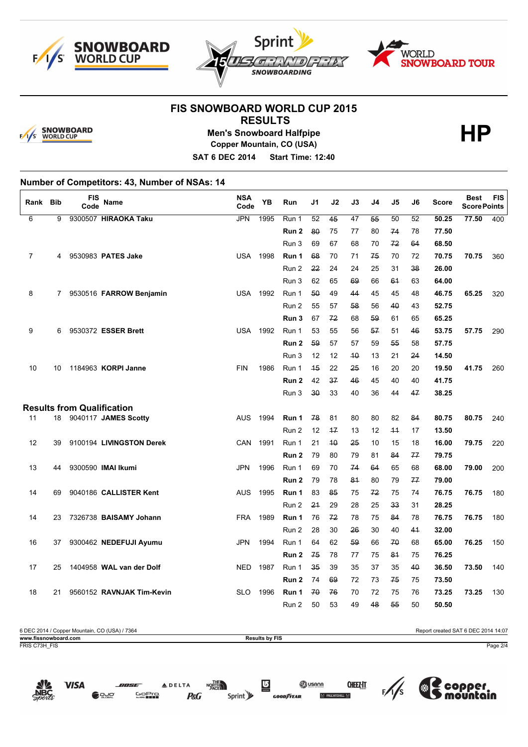





# **FIS SNOWBOARD WORLD CUP 2015**



## **RESULTS Men's Snowboard Halfpipe Copper Mountain, CO (USA)**

**HP**

**SAT 6 DEC 2014 Start Time: 12:40**

## **Number of Competitors: 43, Number of NSAs: 14**

| Rank           | Bib | <b>FIS</b><br>Code | Name                              | <b>NSA</b><br>Code | YB   | Run   | J1           | J2   | J3              | J4 | J5   | J6 | Score | <b>Best</b><br><b>Score Points</b> | <b>FIS</b> |
|----------------|-----|--------------------|-----------------------------------|--------------------|------|-------|--------------|------|-----------------|----|------|----|-------|------------------------------------|------------|
| 6              | 9   |                    | 9300507 HIRAOKA Taku              | JPN                | 1995 | Run 1 | 52           | 45   | $\overline{47}$ | 55 | 50   | 52 | 50.25 | 77.50                              | 400        |
|                |     |                    |                                   |                    |      | Run 2 | 80           | 75   | 77              | 80 | 74   | 78 | 77.50 |                                    |            |
|                |     |                    |                                   |                    |      | Run 3 | 69           | 67   | 68              | 70 | 72   | 64 | 68.50 |                                    |            |
| $\overline{7}$ | 4   |                    | 9530983 PATES Jake                | <b>USA</b>         | 1998 | Run 1 | 68           | 70   | 71              | 75 | 70   | 72 | 70.75 | 70.75                              | 360        |
|                |     |                    |                                   |                    |      | Run 2 | 22           | 24   | 24              | 25 | 31   | 38 | 26.00 |                                    |            |
|                |     |                    |                                   |                    |      | Run 3 | 62           | 65   | 69              | 66 | 61   | 63 | 64.00 |                                    |            |
| 8              | 7   |                    | 9530516 FARROW Benjamin           | <b>USA</b>         | 1992 | Run 1 | 50           | 49   | 44              | 45 | 45   | 48 | 46.75 | 65.25                              | 320        |
|                |     |                    |                                   |                    |      | Run 2 | 55           | 57   | 58              | 56 | 40   | 43 | 52.75 |                                    |            |
|                |     |                    |                                   |                    |      | Run 3 | 67           | 72   | 68              | 59 | 61   | 65 | 65.25 |                                    |            |
| 9              | 6   |                    | 9530372 ESSER Brett               | <b>USA</b>         | 1992 | Run 1 | 53           | 55   | 56              | 57 | 51   | 46 | 53.75 | 57.75                              | 290        |
|                |     |                    |                                   |                    |      | Run 2 | 59           | 57   | 57              | 59 | 55   | 58 | 57.75 |                                    |            |
|                |     |                    |                                   |                    |      | Run 3 | 12           | 12   | 40              | 13 | 21   | 24 | 14.50 |                                    |            |
| 10             | 10  |                    | 1184963 KORPI Janne               | <b>FIN</b>         | 1986 | Run 1 | 45           | 22   | 25              | 16 | 20   | 20 | 19.50 | 41.75                              | 260        |
|                |     |                    |                                   |                    |      | Run 2 | 42           | 37   | 46              | 45 | 40   | 40 | 41.75 |                                    |            |
|                |     |                    |                                   |                    |      | Run 3 | $30^{\circ}$ | 33   | 40              | 36 | 44   | 47 | 38.25 |                                    |            |
|                |     |                    | <b>Results from Qualification</b> |                    |      |       |              |      |                 |    |      |    |       |                                    |            |
| 11             | 18  |                    | 9040117 JAMES Scotty              | AUS                | 1994 | Run 1 | 78           | 81   | 80              | 80 | 82   | 84 | 80.75 | 80.75                              | 240        |
|                |     |                    |                                   |                    |      | Run 2 | 12           | $+7$ | 13              | 12 | $+4$ | 17 | 13.50 |                                    |            |
| 12             | 39  |                    | 9100194 LIVINGSTON Derek          | <b>CAN</b>         | 1991 | Run 1 | 21           | 40   | 25              | 10 | 15   | 18 | 16.00 | 79.75                              | 220        |
|                |     |                    |                                   |                    |      | Run 2 | 79           | 80   | 79              | 81 | 84   | 77 | 79.75 |                                    |            |
| 13             | 44  |                    | 9300590 IMAI Ikumi                | <b>JPN</b>         | 1996 | Run 1 | 69           | 70   | 74              | 64 | 65   | 68 | 68.00 | 79.00                              | 200        |
|                |     |                    |                                   |                    |      | Run 2 | 79           | 78   | 81              | 80 | 79   | 77 | 79.00 |                                    |            |
| 14             | 69  |                    | 9040186 CALLISTER Kent            | <b>AUS</b>         | 1995 | Run 1 | 83           | 85   | 75              | 72 | 75   | 74 | 76.75 | 76.75                              | 180        |
|                |     |                    |                                   |                    |      | Run 2 | 21           | 29   | 28              | 25 | 33   | 31 | 28.25 |                                    |            |
| 14             | 23  |                    | 7326738 BAISAMY Johann            | <b>FRA</b>         | 1989 | Run 1 | 76           | 72   | 78              | 75 | 84   | 78 | 76.75 | 76.75                              | 180        |
|                |     |                    |                                   |                    |      | Run 2 | 28           | 30   | 26              | 30 | 40   | 41 | 32.00 |                                    |            |
| 16             | 37  |                    | 9300462 NEDEFUJI Ayumu            | <b>JPN</b>         | 1994 | Run 1 | 64           | 62   | 59              | 66 | 70   | 68 | 65.00 | 76.25                              | 150        |
|                |     |                    |                                   |                    |      | Run 2 | 75           | 78   | 77              | 75 | 84   | 75 | 76.25 |                                    |            |
| 17             | 25  |                    | 1404958 WAL van der Dolf          | <b>NED</b>         | 1987 | Run 1 | 35           | 39   | 35              | 37 | 35   | 40 | 36.50 | 73.50                              | 140        |
|                |     |                    |                                   |                    |      | Run 2 | 74           | 69   | 72              | 73 | 75   | 75 | 73.50 |                                    |            |
| 18             | 21  |                    | 9560152 RAVNJAK Tim-Kevin         | <b>SLO</b>         | 1996 | Run 1 | 70           | 76   | 70              | 72 | 75   | 76 | 73.25 | 73.25                              | 130        |
|                |     |                    |                                   |                    |      | Run 2 | 50           | 53   | 49              | 48 | 55   | 50 | 50.50 |                                    |            |

| 6 DEC 2014 / Copper Mountain, CO (USA) / 7364 |                       | Report created SAT 6 DEC 2014 14:07 |
|-----------------------------------------------|-----------------------|-------------------------------------|
| www.fissnowboard.com                          | <b>Results by FIS</b> |                                     |
| FRIS C73H FIS                                 |                       | Page 2/4                            |

**CHEEZ:IT** 

ŒΜ

 $\frac{1}{5}$ 

(※

per

**ED** USANA

 $M$  Brium



**ADELTA** 

**P&G** 

**GOPro** 

NORTH

Sprint y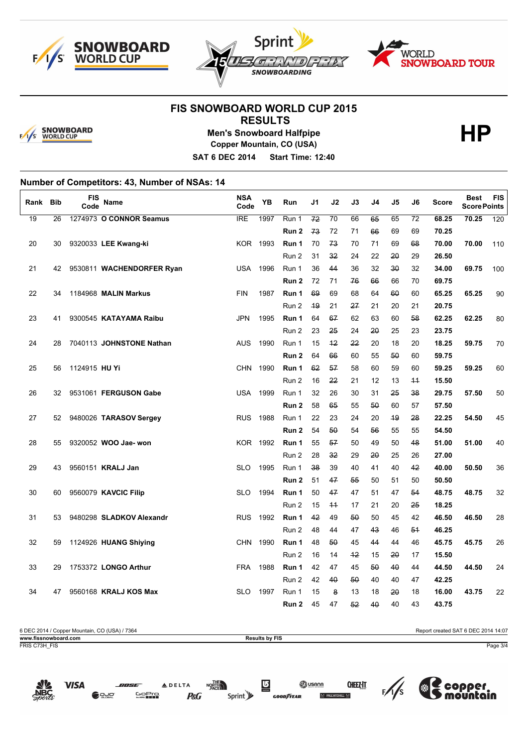





# **FIS SNOWBOARD WORLD CUP 2015**



#### **RESULTS Men's Snowboard Halfpipe Copper Mountain, CO (USA)**

**HP**

**SAT 6 DEC 2014 Start Time: 12:40**

# **Number of Competitors: 43, Number of NSAs: 14**

| Rank | <b>Bib</b> | FIS<br>Code   | Name                      | <b>NSA</b><br>Code | YB   | Run              | J1       | J2       | J3       | J4       | J5           | J6       | <b>Score</b>   | <b>Best</b><br><b>Score Points</b> | <b>FIS</b> |
|------|------------|---------------|---------------------------|--------------------|------|------------------|----------|----------|----------|----------|--------------|----------|----------------|------------------------------------|------------|
| 19   | 26         |               | 1274973 O CONNOR Seamus   | IRE                | 1997 | Run 1            | 72       | 70       | 66       | 65       | 65           | 72       | 68.25          | 70.25                              | 120        |
|      |            |               |                           |                    |      | Run <sub>2</sub> | 73       | 72       | 71       | 66       | 69           | 69       | 70.25          |                                    |            |
| 20   | 30         |               | 9320033 LEE Kwang-ki      | KOR 1993           |      | Run 1            | 70       | 73       | 70       | 71       | 69           | 68       | 70.00          | 70.00                              | 110        |
|      |            |               |                           |                    |      | Run 2            | 31       | 32       | 24       | 22       | 20           | 29       | 26.50          |                                    |            |
| 21   | 42         |               | 9530811 WACHENDORFER Ryan | <b>USA</b>         | 1996 | Run 1            | 36       | 44       | 36       | 32       | $30^{\circ}$ | 32       | 34.00          | 69.75                              | 100        |
|      |            |               |                           |                    |      | Run <sub>2</sub> | 72       | 71       | 76       | 66       | 66           | 70       | 69.75          |                                    |            |
| 22   | 34         |               | 1184968 MALIN Markus      | <b>FIN</b>         | 1987 | Run 1            | 69       | 69       | 68       | 64       | 60           | 60       | 65.25          | 65.25                              | 90         |
|      |            |               |                           |                    |      | Run 2            | 49       | 21       | 27       | 21       | 20           | 21       | 20.75          |                                    |            |
| 23   | 41         |               | 9300545 KATAYAMA Raibu    | <b>JPN</b>         | 1995 | Run 1            | 64       | 67       | 62       | 63       | 60           | 58       | 62.25          | 62.25                              | 80         |
|      |            |               |                           |                    |      | Run 2            | 23       | 25       | 24       | 20       | 25           | 23       | 23.75          |                                    |            |
| 24   | 28         |               | 7040113 JOHNSTONE Nathan  | <b>AUS</b>         | 1990 | Run 1            | 15       | $+2$     | 22       | 20       | 18           | 20       | 18.25          | 59.75                              | 70         |
|      |            |               |                           |                    |      | Run <sub>2</sub> | 64       | 66       | 60       | 55       | 50           | 60       | 59.75          |                                    |            |
| 25   | 56         | 1124915 HU Yi |                           | <b>CHN</b>         | 1990 | Run 1            | 62       | 57       | 58       | 60       | 59           | 60       | 59.25          | 59.25                              | 60         |
|      |            |               |                           |                    |      | Run 2            | 16       | 22       | 21       | 12       | 13           | $+4$     | 15.50          |                                    |            |
| 26   | 32         |               | 9531061 FERGUSON Gabe     | <b>USA</b>         | 1999 | Run 1            | 32       | 26       | 30       | 31       | 25           | 38       | 29.75          | 57.50                              | 50         |
|      |            |               |                           |                    |      | Run <sub>2</sub> | 58       | 65       | 55       | 50       | 60           | 57       | 57.50          |                                    |            |
| 27   | 52         |               | 9480026 TARASOV Sergey    | <b>RUS</b>         | 1988 | Run 1            | 22       | 23       | 24       | 20       | 49           | 28       | 22.25          | 54.50                              | 45         |
| 28   | 55         |               | 9320052 WOO Jae- won      | KOR 1992           |      | Run 2<br>Run 1   | 54<br>55 | 50<br>57 | 54<br>50 | 56<br>49 | 55<br>50     | 55<br>48 | 54.50<br>51.00 | 51.00                              |            |
|      |            |               |                           |                    |      | Run 2            | 28       | 32       | 29       | 20       | 25           | 26       | 27.00          |                                    | 40         |
| 29   | 43         |               | 9560151 KRALJ Jan         | <b>SLO</b>         | 1995 | Run 1            | 38       | 39       | 40       | 41       | 40           | 42       | 40.00          | 50.50                              | 36         |
|      |            |               |                           |                    |      | Run <sub>2</sub> | 51       | 47       | 55       | 50       | 51           | 50       | 50.50          |                                    |            |
| 30   | 60         |               | 9560079 KAVCIC Filip      | <b>SLO</b>         | 1994 | Run 1            | 50       | 47       | 47       | 51       | 47           | 54       | 48.75          | 48.75                              | 32         |
|      |            |               |                           |                    |      | Run 2            | 15       | $+4$     | 17       | 21       | 20           | 25       | 18.25          |                                    |            |
| 31   | 53         |               | 9480298 SLADKOV Alexandr  | <b>RUS</b>         | 1992 | Run 1            | 42       | 49       | 50       | 50       | 45           | 42       | 46.50          | 46.50                              | 28         |
|      |            |               |                           |                    |      | Run 2            | 48       | 44       | 47       | 43       | 46           | 54       | 46.25          |                                    |            |
| 32   | 59         |               | 1124926 HUANG Shiying     | <b>CHN</b>         | 1990 | Run 1            | 48       | 50       | 45       | 44       | 44           | 46       | 45.75          | 45.75                              | 26         |
|      |            |               |                           |                    |      | Run 2            | 16       | 14       | 42       | 15       | 20           | 17       | 15.50          |                                    |            |
| 33   | 29         |               | 1753372 LONGO Arthur      | <b>FRA</b>         | 1988 | Run 1            | 42       | 47       | 45       | 50       | 40           | 44       | 44.50          | 44.50                              | 24         |
|      |            |               |                           |                    |      | Run 2            | 42       | 40       | 50       | 40       | 40           | 47       | 42.25          |                                    |            |
| 34   | 47         |               | 9560168 KRALJ KOS Max     | <b>SLO</b>         | 1997 | Run 1            | 15       | 8        | 13       | 18       | 20           | 18       | 16.00          | 43.75                              | 22         |
|      |            |               |                           |                    |      | Run 2            | 45       | 47       | 52       | 40       | 40           | 43       | 43.75          |                                    |            |

| 6 DEC 2014 / Copper Mountain, CO (USA) / 7364 |                       | Report created SAT 6 DEC 2014 14:07 |
|-----------------------------------------------|-----------------------|-------------------------------------|
| www.fissnowboard.com                          | <b>Results by FIS</b> |                                     |
| FRIS C73H FIS                                 |                       | Page 3/4                            |

Sprint y

**ADELTA** 

**P&G** 

**GOPro** 

**D** DUC

**Si usana** 

 $M$  Brium

**CHEEZ:IT** 

≖ ⊠

 $\frac{1}{5}$ 

(※

per

**VISA**